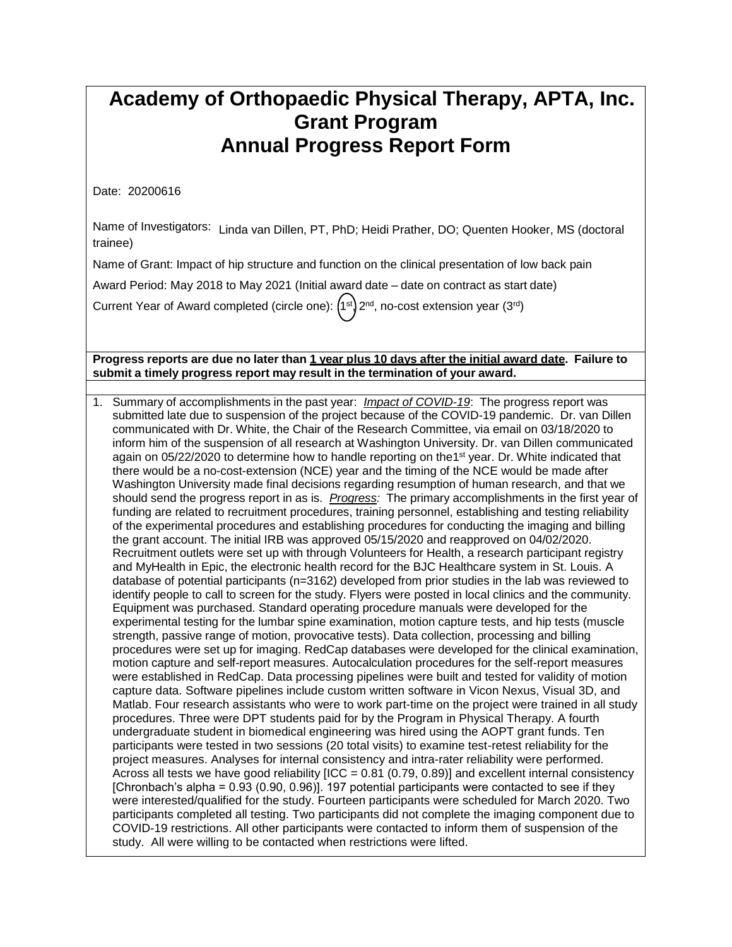## **Academy of Orthopaedic Physical Therapy, APTA, Inc. Grant Program Annual Progress Report Form**

Date: 20200616

Name of Investigators: Linda van Dillen, PT, PhD; Heidi Prather, DO; Quenten Hooker, MS (doctoral trainee)

Name of Grant: Impact of hip structure and function on the clinical presentation of low back pain

Award Period: May 2018 to May 2021 (Initial award date – date on contract as start date)

Current Year of Award completed (circle one):  $(1^{st})$   $2^{nd}$ , no-cost extension year  $(3^{rd})$ 

## Progress reports are due no later than 1 year plus 10 days after the initial award date. Failure to **submit a timely progress report may result in the termination of your award.**

1. Summary of accomplishments in the past year: *Impact of COVID-19*: The progress report was submitted late due to suspension of the project because of the COVID-19 pandemic.Dr. van Dillen communicated with Dr. White, the Chair of the Research Committee, via email on 03/18/2020 to inform him of the suspension of all research at Washington University. Dr. van Dillen communicated again on 05/22/2020 to determine how to handle reporting on the1<sup>st</sup> year. Dr. White indicated that there would be a no-cost-extension (NCE) year and the timing of the NCE would be made after Washington University made final decisions regarding resumption of human research, and that we should send the progress report in as is. *Progress:* The primary accomplishments in the first year of funding are related to recruitment procedures, training personnel, establishing and testing reliability of the experimental procedures and establishing procedures for conducting the imaging and billing the grant account. The initial IRB was approved 05/15/2020 and reapproved on 04/02/2020. Recruitment outlets were set up with through Volunteers for Health, a research participant registry and MyHealth in Epic, the electronic health record for the BJC Healthcare system in St. Louis. A database of potential participants (n=3162) developed from prior studies in the lab was reviewed to identify people to call to screen for the study. Flyers were posted in local clinics and the community. Equipment was purchased. Standard operating procedure manuals were developed for the experimental testing for the lumbar spine examination, motion capture tests, and hip tests (muscle strength, passive range of motion, provocative tests). Data collection, processing and billing procedures were set up for imaging. RedCap databases were developed for the clinical examination, motion capture and self-report measures. Autocalculation procedures for the self-report measures were established in RedCap. Data processing pipelines were built and tested for validity of motion capture data. Software pipelines include custom written software in Vicon Nexus, Visual 3D, and Matlab. Four research assistants who were to work part-time on the project were trained in all study procedures. Three were DPT students paid for by the Program in Physical Therapy. A fourth undergraduate student in biomedical engineering was hired using the AOPT grant funds. Ten participants were tested in two sessions (20 total visits) to examine test-retest reliability for the project measures. Analyses for internal consistency and intra-rater reliability were performed. Across all tests we have good reliability  $[ICC = 0.81 (0.79, 0.89)]$  and excellent internal consistency [Chronbach's alpha = 0.93 (0.90, 0.96)]. 197 potential participants were contacted to see if they were interested/qualified for the study. Fourteen participants were scheduled for March 2020. Two participants completed all testing. Two participants did not complete the imaging component due to COVID-19 restrictions. All other participants were contacted to inform them of suspension of the study. All were willing to be contacted when restrictions were lifted.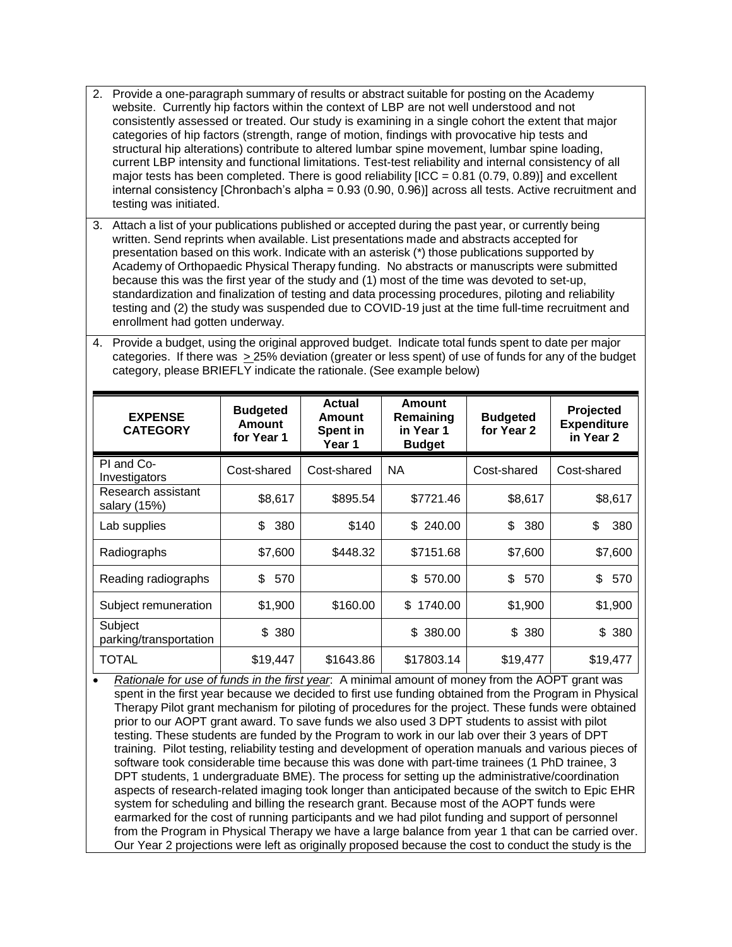- 2. Provide a one-paragraph summary of results or abstract suitable for posting on the Academy website. Currently hip factors within the context of LBP are not well understood and not consistently assessed or treated. Our study is examining in a single cohort the extent that major categories of hip factors (strength, range of motion, findings with provocative hip tests and structural hip alterations) contribute to altered lumbar spine movement, lumbar spine loading, current LBP intensity and functional limitations. Test-test reliability and internal consistency of all major tests has been completed. There is good reliability  $[ICC = 0.81 (0.79, 0.89)]$  and excellent internal consistency [Chronbach's alpha = 0.93 (0.90, 0.96)] across all tests. Active recruitment and testing was initiated.
- 3. Attach a list of your publications published or accepted during the past year, or currently being written. Send reprints when available. List presentations made and abstracts accepted for presentation based on this work. Indicate with an asterisk (\*) those publications supported by Academy of Orthopaedic Physical Therapy funding. No abstracts or manuscripts were submitted because this was the first year of the study and (1) most of the time was devoted to set-up, standardization and finalization of testing and data processing procedures, piloting and reliability testing and (2) the study was suspended due to COVID-19 just at the time full-time recruitment and enrollment had gotten underway.
- 4. Provide a budget, using the original approved budget. Indicate total funds spent to date per major categories. If there was > 25% deviation (greater or less spent) of use of funds for any of the budget category, please BRIEFLY indicate the rationale. (See example below)

| <b>EXPENSE</b><br><b>CATEGORY</b>  | <b>Budgeted</b><br><b>Amount</b><br>for Year 1 | Actual<br>Amount<br>Spent in<br>Year 1 | <b>Amount</b><br>Remaining<br>in Year 1<br><b>Budget</b> | <b>Budgeted</b><br>for Year 2 | Projected<br><b>Expenditure</b><br>in Year 2 |
|------------------------------------|------------------------------------------------|----------------------------------------|----------------------------------------------------------|-------------------------------|----------------------------------------------|
| PI and Co-<br>Investigators        | Cost-shared                                    | Cost-shared                            | <b>NA</b>                                                | Cost-shared                   | Cost-shared                                  |
| Research assistant<br>salary (15%) | \$8,617                                        | \$895.54                               | \$7721.46                                                | \$8,617                       | \$8,617                                      |
| Lab supplies                       | \$<br>380                                      | \$140                                  | \$240.00                                                 | \$<br>380                     | \$<br>380                                    |
| Radiographs                        | \$7,600                                        | \$448.32                               | \$7151.68                                                | \$7,600                       | \$7,600                                      |
| Reading radiographs                | \$<br>570                                      |                                        | \$570.00                                                 | \$<br>570                     | \$<br>570                                    |
| Subject remuneration               | \$1,900                                        | \$160.00                               | 1740.00<br>\$                                            | \$1,900                       | \$1,900                                      |
| Subject<br>parking/transportation  | \$<br>380                                      |                                        | \$ 380.00                                                | \$380                         | \$ 380                                       |
| <b>TOTAL</b>                       | \$19,447                                       | \$1643.86                              | \$17803.14                                               | \$19,477                      | \$19,477                                     |

 *Rationale for use of funds in the first year*: A minimal amount of money from the AOPT grant was spent in the first year because we decided to first use funding obtained from the Program in Physical Therapy Pilot grant mechanism for piloting of procedures for the project. These funds were obtained prior to our AOPT grant award. To save funds we also used 3 DPT students to assist with pilot testing. These students are funded by the Program to work in our lab over their 3 years of DPT training. Pilot testing, reliability testing and development of operation manuals and various pieces of software took considerable time because this was done with part-time trainees (1 PhD trainee, 3 DPT students, 1 undergraduate BME). The process for setting up the administrative/coordination aspects of research-related imaging took longer than anticipated because of the switch to Epic EHR system for scheduling and billing the research grant. Because most of the AOPT funds were earmarked for the cost of running participants and we had pilot funding and support of personnel from the Program in Physical Therapy we have a large balance from year 1 that can be carried over. Our Year 2 projections were left as originally proposed because the cost to conduct the study is the